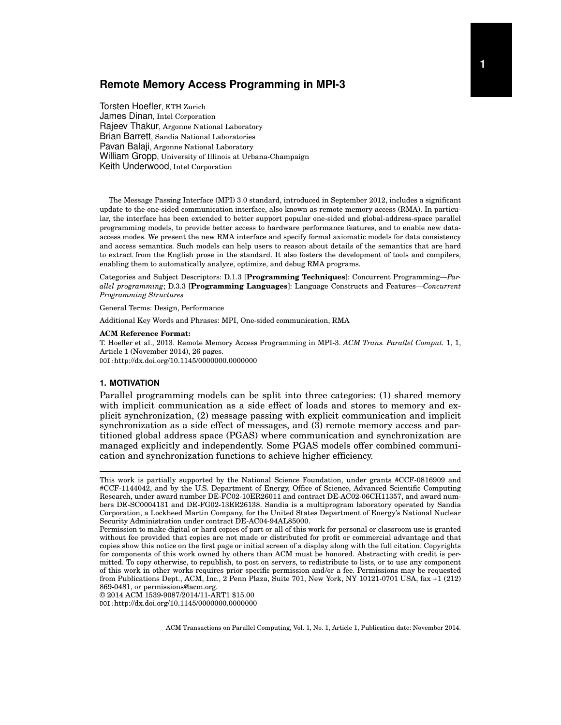# **Remote Memory Access Programming in MPI-3**

Torsten Hoefler, ETH Zurich James Dinan, Intel Corporation Rajeev Thakur, Argonne National Laboratory Brian Barrett, Sandia National Laboratories Pavan Balaji, Argonne National Laboratory William Gropp, University of Illinois at Urbana-Champaign Keith Underwood, Intel Corporation

The Message Passing Interface (MPI) 3.0 standard, introduced in September 2012, includes a significant update to the one-sided communication interface, also known as remote memory access (RMA). In particular, the interface has been extended to better support popular one-sided and global-address-space parallel programming models, to provide better access to hardware performance features, and to enable new dataaccess modes. We present the new RMA interface and specify formal axiomatic models for data consistency and access semantics. Such models can help users to reason about details of the semantics that are hard to extract from the English prose in the standard. It also fosters the development of tools and compilers, enabling them to automatically analyze, optimize, and debug RMA programs.

Categories and Subject Descriptors: D.1.3 [**Programming Techniques**]: Concurrent Programming—*Parallel programming*; D.3.3 [**Programming Languages**]: Language Constructs and Features—*Concurrent Programming Structures*

General Terms: Design, Performance

Additional Key Words and Phrases: MPI, One-sided communication, RMA

#### **ACM Reference Format:**

T. Hoefler et al., 2013. Remote Memory Access Programming in MPI-3. *ACM Trans. Parallel Comput.* 1, 1, Article 1 (November 2014), 26 pages. DOI:http://dx.doi.org/10.1145/0000000.0000000

# **1. MOTIVATION**

Parallel programming models can be split into three categories: (1) shared memory with implicit communication as a side effect of loads and stores to memory and explicit synchronization, (2) message passing with explicit communication and implicit synchronization as a side effect of messages, and (3) remote memory access and partitioned global address space (PGAS) where communication and synchronization are managed explicitly and independently. Some PGAS models offer combined communication and synchronization functions to achieve higher efficiency.

© 2014 ACM 1539-9087/2014/11-ART1 \$15.00 DOI:http://dx.doi.org/10.1145/0000000.0000000

This work is partially supported by the National Science Foundation, under grants #CCF-0816909 and #CCF-1144042, and by the U.S. Department of Energy, Office of Science, Advanced Scientific Computing Research, under award number DE-FC02-10ER26011 and contract DE-AC02-06CH11357, and award numbers DE-SC0004131 and DE-FG02-13ER26138. Sandia is a multiprogram laboratory operated by Sandia Corporation, a Lockheed Martin Company, for the United States Department of Energy's National Nuclear Security Administration under contract DE-AC04-94AL85000.

Permission to make digital or hard copies of part or all of this work for personal or classroom use is granted without fee provided that copies are not made or distributed for profit or commercial advantage and that copies show this notice on the first page or initial screen of a display along with the full citation. Copyrights for components of this work owned by others than ACM must be honored. Abstracting with credit is permitted. To copy otherwise, to republish, to post on servers, to redistribute to lists, or to use any component of this work in other works requires prior specific permission and/or a fee. Permissions may be requested from Publications Dept., ACM, Inc., 2 Penn Plaza, Suite 701, New York, NY 10121-0701 USA, fax +1 (212) 869-0481, or permissions@acm.org.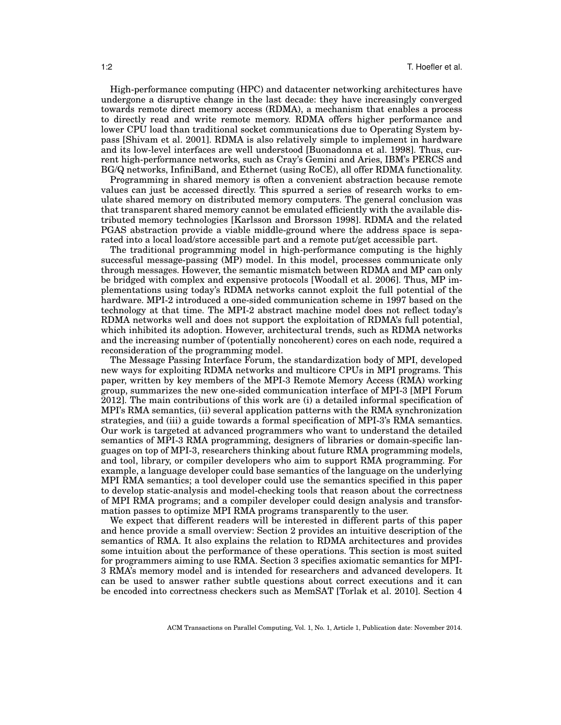High-performance computing (HPC) and datacenter networking architectures have undergone a disruptive change in the last decade: they have increasingly converged towards remote direct memory access (RDMA), a mechanism that enables a process to directly read and write remote memory. RDMA offers higher performance and lower CPU load than traditional socket communications due to Operating System bypass [Shivam et al. 2001]. RDMA is also relatively simple to implement in hardware and its low-level interfaces are well understood [Buonadonna et al. 1998]. Thus, current high-performance networks, such as Cray's Gemini and Aries, IBM's PERCS and BG/Q networks, InfiniBand, and Ethernet (using RoCE), all offer RDMA functionality.

Programming in shared memory is often a convenient abstraction because remote values can just be accessed directly. This spurred a series of research works to emulate shared memory on distributed memory computers. The general conclusion was that transparent shared memory cannot be emulated efficiently with the available distributed memory technologies [Karlsson and Brorsson 1998]. RDMA and the related PGAS abstraction provide a viable middle-ground where the address space is separated into a local load/store accessible part and a remote put/get accessible part.

The traditional programming model in high-performance computing is the highly successful message-passing (MP) model. In this model, processes communicate only through messages. However, the semantic mismatch between RDMA and MP can only be bridged with complex and expensive protocols [Woodall et al. 2006]. Thus, MP implementations using today's RDMA networks cannot exploit the full potential of the hardware. MPI-2 introduced a one-sided communication scheme in 1997 based on the technology at that time. The MPI-2 abstract machine model does not reflect today's RDMA networks well and does not support the exploitation of RDMA's full potential, which inhibited its adoption. However, architectural trends, such as RDMA networks and the increasing number of (potentially noncoherent) cores on each node, required a reconsideration of the programming model.

The Message Passing Interface Forum, the standardization body of MPI, developed new ways for exploiting RDMA networks and multicore CPUs in MPI programs. This paper, written by key members of the MPI-3 Remote Memory Access (RMA) working group, summarizes the new one-sided communication interface of MPI-3 [MPI Forum 2012]. The main contributions of this work are (i) a detailed informal specification of MPI's RMA semantics, (ii) several application patterns with the RMA synchronization strategies, and (iii) a guide towards a formal specification of MPI-3's RMA semantics. Our work is targeted at advanced programmers who want to understand the detailed semantics of MPI-3 RMA programming, designers of libraries or domain-specific languages on top of MPI-3, researchers thinking about future RMA programming models, and tool, library, or compiler developers who aim to support RMA programming. For example, a language developer could base semantics of the language on the underlying MPI RMA semantics; a tool developer could use the semantics specified in this paper to develop static-analysis and model-checking tools that reason about the correctness of MPI RMA programs; and a compiler developer could design analysis and transformation passes to optimize MPI RMA programs transparently to the user.

We expect that different readers will be interested in different parts of this paper and hence provide a small overview: Section 2 provides an intuitive description of the semantics of RMA. It also explains the relation to RDMA architectures and provides some intuition about the performance of these operations. This section is most suited for programmers aiming to use RMA. Section 3 specifies axiomatic semantics for MPI-3 RMA's memory model and is intended for researchers and advanced developers. It can be used to answer rather subtle questions about correct executions and it can be encoded into correctness checkers such as MemSAT [Torlak et al. 2010]. Section 4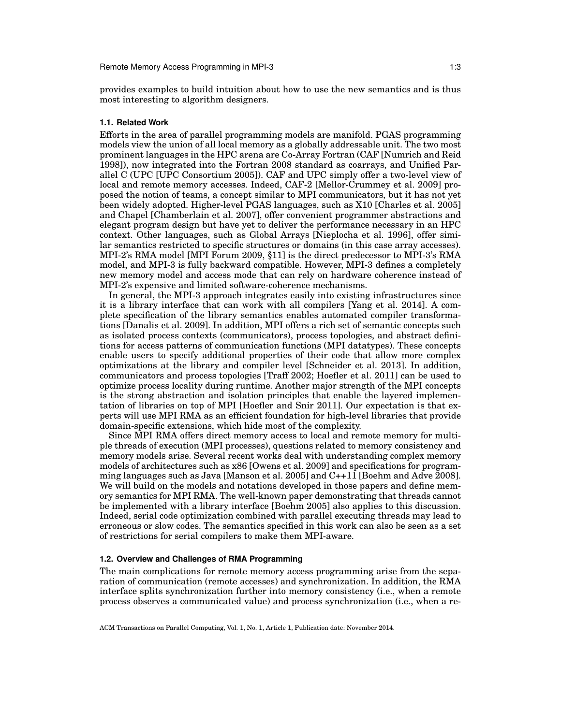provides examples to build intuition about how to use the new semantics and is thus most interesting to algorithm designers.

### **1.1. Related Work**

Efforts in the area of parallel programming models are manifold. PGAS programming models view the union of all local memory as a globally addressable unit. The two most prominent languages in the HPC arena are Co-Array Fortran (CAF [Numrich and Reid 1998]), now integrated into the Fortran 2008 standard as coarrays, and Unified Parallel C (UPC [UPC Consortium 2005]). CAF and UPC simply offer a two-level view of local and remote memory accesses. Indeed, CAF-2 [Mellor-Crummey et al. 2009] proposed the notion of teams, a concept similar to MPI communicators, but it has not yet been widely adopted. Higher-level PGAS languages, such as X10 [Charles et al. 2005] and Chapel [Chamberlain et al. 2007], offer convenient programmer abstractions and elegant program design but have yet to deliver the performance necessary in an HPC context. Other languages, such as Global Arrays [Nieplocha et al. 1996], offer similar semantics restricted to specific structures or domains (in this case array accesses). MPI-2's RMA model [MPI Forum 2009, §11] is the direct predecessor to MPI-3's RMA model, and MPI-3 is fully backward compatible. However, MPI-3 defines a completely new memory model and access mode that can rely on hardware coherence instead of MPI-2's expensive and limited software-coherence mechanisms.

In general, the MPI-3 approach integrates easily into existing infrastructures since it is a library interface that can work with all compilers [Yang et al. 2014]. A complete specification of the library semantics enables automated compiler transformations [Danalis et al. 2009]. In addition, MPI offers a rich set of semantic concepts such as isolated process contexts (communicators), process topologies, and abstract definitions for access patterns of communication functions (MPI datatypes). These concepts enable users to specify additional properties of their code that allow more complex optimizations at the library and compiler level [Schneider et al. 2013]. In addition, communicators and process topologies [Traff 2002; Hoefler et al. 2011] can be used to optimize process locality during runtime. Another major strength of the MPI concepts is the strong abstraction and isolation principles that enable the layered implementation of libraries on top of MPI [Hoefler and Snir 2011]. Our expectation is that experts will use MPI RMA as an efficient foundation for high-level libraries that provide domain-specific extensions, which hide most of the complexity.

Since MPI RMA offers direct memory access to local and remote memory for multiple threads of execution (MPI processes), questions related to memory consistency and memory models arise. Several recent works deal with understanding complex memory models of architectures such as x86 [Owens et al. 2009] and specifications for programming languages such as Java [Manson et al. 2005] and C++11 [Boehm and Adve 2008]. We will build on the models and notations developed in those papers and define memory semantics for MPI RMA. The well-known paper demonstrating that threads cannot be implemented with a library interface [Boehm 2005] also applies to this discussion. Indeed, serial code optimization combined with parallel executing threads may lead to erroneous or slow codes. The semantics specified in this work can also be seen as a set of restrictions for serial compilers to make them MPI-aware.

# **1.2. Overview and Challenges of RMA Programming**

The main complications for remote memory access programming arise from the separation of communication (remote accesses) and synchronization. In addition, the RMA interface splits synchronization further into memory consistency (i.e., when a remote process observes a communicated value) and process synchronization (i.e., when a re-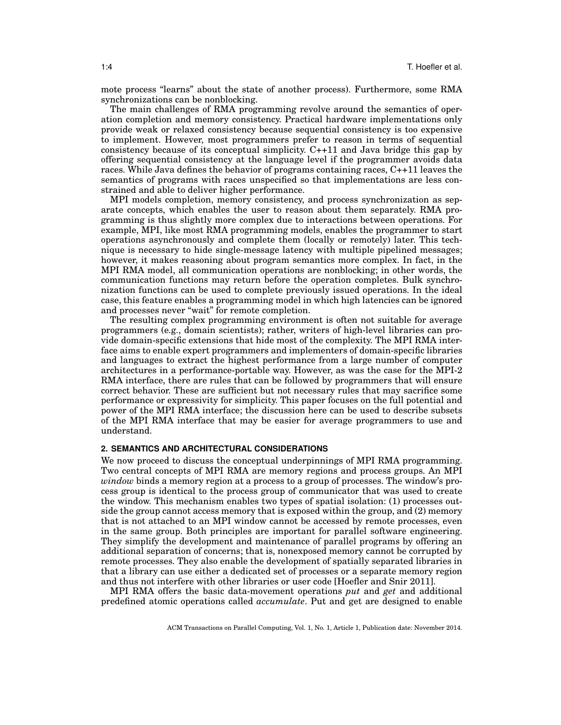mote process "learns" about the state of another process). Furthermore, some RMA synchronizations can be nonblocking.

The main challenges of RMA programming revolve around the semantics of operation completion and memory consistency. Practical hardware implementations only provide weak or relaxed consistency because sequential consistency is too expensive to implement. However, most programmers prefer to reason in terms of sequential consistency because of its conceptual simplicity. C++11 and Java bridge this gap by offering sequential consistency at the language level if the programmer avoids data races. While Java defines the behavior of programs containing races, C++11 leaves the semantics of programs with races unspecified so that implementations are less constrained and able to deliver higher performance.

MPI models completion, memory consistency, and process synchronization as separate concepts, which enables the user to reason about them separately. RMA programming is thus slightly more complex due to interactions between operations. For example, MPI, like most RMA programming models, enables the programmer to start operations asynchronously and complete them (locally or remotely) later. This technique is necessary to hide single-message latency with multiple pipelined messages; however, it makes reasoning about program semantics more complex. In fact, in the MPI RMA model, all communication operations are nonblocking; in other words, the communication functions may return before the operation completes. Bulk synchronization functions can be used to complete previously issued operations. In the ideal case, this feature enables a programming model in which high latencies can be ignored and processes never "wait" for remote completion.

The resulting complex programming environment is often not suitable for average programmers (e.g., domain scientists); rather, writers of high-level libraries can provide domain-specific extensions that hide most of the complexity. The MPI RMA interface aims to enable expert programmers and implementers of domain-specific libraries and languages to extract the highest performance from a large number of computer architectures in a performance-portable way. However, as was the case for the MPI-2 RMA interface, there are rules that can be followed by programmers that will ensure correct behavior. These are sufficient but not necessary rules that may sacrifice some performance or expressivity for simplicity. This paper focuses on the full potential and power of the MPI RMA interface; the discussion here can be used to describe subsets of the MPI RMA interface that may be easier for average programmers to use and understand.

# **2. SEMANTICS AND ARCHITECTURAL CONSIDERATIONS**

We now proceed to discuss the conceptual underpinnings of MPI RMA programming. Two central concepts of MPI RMA are memory regions and process groups. An MPI *window* binds a memory region at a process to a group of processes. The window's process group is identical to the process group of communicator that was used to create the window. This mechanism enables two types of spatial isolation: (1) processes outside the group cannot access memory that is exposed within the group, and (2) memory that is not attached to an MPI window cannot be accessed by remote processes, even in the same group. Both principles are important for parallel software engineering. They simplify the development and maintenance of parallel programs by offering an additional separation of concerns; that is, nonexposed memory cannot be corrupted by remote processes. They also enable the development of spatially separated libraries in that a library can use either a dedicated set of processes or a separate memory region and thus not interfere with other libraries or user code [Hoefler and Snir 2011].

MPI RMA offers the basic data-movement operations *put* and *get* and additional predefined atomic operations called *accumulate*. Put and get are designed to enable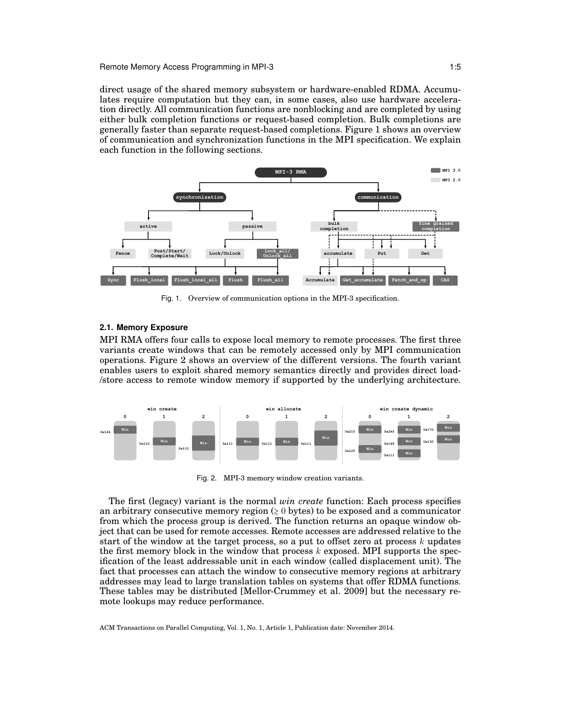Remote Memory Access Programming in MPI-3 1:5

direct usage of the shared memory subsystem or hardware-enabled RDMA. Accumulates require computation but they can, in some cases, also use hardware acceleration directly. All communication functions are nonblocking and are completed by using either bulk completion functions or request-based completion. Bulk completions are generally faster than separate request-based completions. Figure 1 shows an overview of communication and synchronization functions in the MPI specification. We explain each function in the following sections.



Fig. 1. Overview of communication options in the MPI-3 specification.

# **2.1. Memory Exposure**

MPI RMA offers four calls to expose local memory to remote processes. The first three variants create windows that can be remotely accessed only by MPI communication operations. Figure 2 shows an overview of the different versions. The fourth variant enables users to exploit shared memory semantics directly and provides direct load- /store access to remote window memory if supported by the underlying architecture.



Fig. 2. MPI-3 memory window creation variants.

The first (legacy) variant is the normal *win create* function: Each process specifies an arbitrary consecutive memory region  $(≥ 0$  bytes) to be exposed and a communicator from which the process group is derived. The function returns an opaque window object that can be used for remote accesses. Remote accesses are addressed relative to the start of the window at the target process, so a put to offset zero at process  $k$  updates the first memory block in the window that process  $k$  exposed. MPI supports the specification of the least addressable unit in each window (called displacement unit). The fact that processes can attach the window to consecutive memory regions at arbitrary addresses may lead to large translation tables on systems that offer RDMA functions. These tables may be distributed [Mellor-Crummey et al. 2009] but the necessary remote lookups may reduce performance.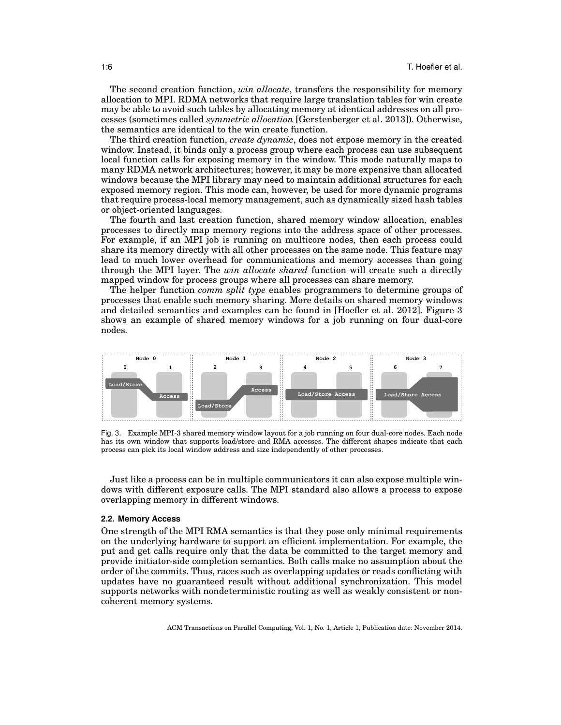The second creation function, *win allocate*, transfers the responsibility for memory allocation to MPI. RDMA networks that require large translation tables for win create may be able to avoid such tables by allocating memory at identical addresses on all processes (sometimes called *symmetric allocation* [Gerstenberger et al. 2013]). Otherwise, the semantics are identical to the win create function.

The third creation function, *create dynamic*, does not expose memory in the created window. Instead, it binds only a process group where each process can use subsequent local function calls for exposing memory in the window. This mode naturally maps to many RDMA network architectures; however, it may be more expensive than allocated windows because the MPI library may need to maintain additional structures for each exposed memory region. This mode can, however, be used for more dynamic programs that require process-local memory management, such as dynamically sized hash tables or object-oriented languages.

The fourth and last creation function, shared memory window allocation, enables processes to directly map memory regions into the address space of other processes. For example, if an MPI job is running on multicore nodes, then each process could share its memory directly with all other processes on the same node. This feature may lead to much lower overhead for communications and memory accesses than going through the MPI layer. The *win allocate shared* function will create such a directly mapped window for process groups where all processes can share memory.

The helper function *comm split type* enables programmers to determine groups of processes that enable such memory sharing. More details on shared memory windows and detailed semantics and examples can be found in [Hoefler et al. 2012]. Figure 3 shows an example of shared memory windows for a job running on four dual-core nodes.



Fig. 3. Example MPI-3 shared memory window layout for a job running on four dual-core nodes. Each node has its own window that supports load/store and RMA accesses. The different shapes indicate that each process can pick its local window address and size independently of other processes.

Just like a process can be in multiple communicators it can also expose multiple windows with different exposure calls. The MPI standard also allows a process to expose overlapping memory in different windows.

### **2.2. Memory Access**

One strength of the MPI RMA semantics is that they pose only minimal requirements on the underlying hardware to support an efficient implementation. For example, the put and get calls require only that the data be committed to the target memory and provide initiator-side completion semantics. Both calls make no assumption about the order of the commits. Thus, races such as overlapping updates or reads conflicting with updates have no guaranteed result without additional synchronization. This model supports networks with nondeterministic routing as well as weakly consistent or noncoherent memory systems.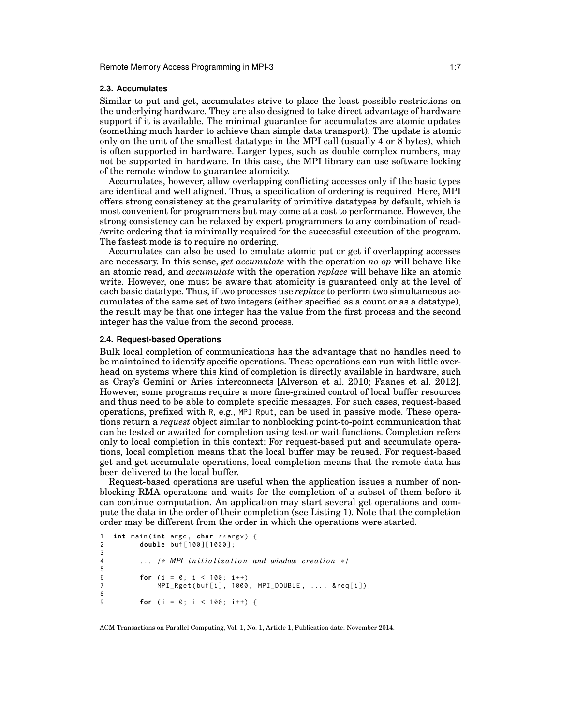# **2.3. Accumulates**

Similar to put and get, accumulates strive to place the least possible restrictions on the underlying hardware. They are also designed to take direct advantage of hardware support if it is available. The minimal guarantee for accumulates are atomic updates (something much harder to achieve than simple data transport). The update is atomic only on the unit of the smallest datatype in the MPI call (usually 4 or 8 bytes), which is often supported in hardware. Larger types, such as double complex numbers, may not be supported in hardware. In this case, the MPI library can use software locking of the remote window to guarantee atomicity.

Accumulates, however, allow overlapping conflicting accesses only if the basic types are identical and well aligned. Thus, a specification of ordering is required. Here, MPI offers strong consistency at the granularity of primitive datatypes by default, which is most convenient for programmers but may come at a cost to performance. However, the strong consistency can be relaxed by expert programmers to any combination of read- /write ordering that is minimally required for the successful execution of the program. The fastest mode is to require no ordering.

Accumulates can also be used to emulate atomic put or get if overlapping accesses are necessary. In this sense, *get accumulate* with the operation *no op* will behave like an atomic read, and *accumulate* with the operation *replace* will behave like an atomic write. However, one must be aware that atomicity is guaranteed only at the level of each basic datatype. Thus, if two processes use *replace* to perform two simultaneous accumulates of the same set of two integers (either specified as a count or as a datatype), the result may be that one integer has the value from the first process and the second integer has the value from the second process.

# **2.4. Request-based Operations**

Bulk local completion of communications has the advantage that no handles need to be maintained to identify specific operations. These operations can run with little overhead on systems where this kind of completion is directly available in hardware, such as Cray's Gemini or Aries interconnects [Alverson et al. 2010; Faanes et al. 2012]. However, some programs require a more fine-grained control of local buffer resources and thus need to be able to complete specific messages. For such cases, request-based operations, prefixed with R, e.g., MPI Rput, can be used in passive mode. These operations return a *request* object similar to nonblocking point-to-point communication that can be tested or awaited for completion using test or wait functions. Completion refers only to local completion in this context: For request-based put and accumulate operations, local completion means that the local buffer may be reused. For request-based get and get accumulate operations, local completion means that the remote data has been delivered to the local buffer.

Request-based operations are useful when the application issues a number of nonblocking RMA operations and waits for the completion of a subset of them before it can continue computation. An application may start several get operations and compute the data in the order of their completion (see Listing 1). Note that the completion order may be different from the order in which the operations were started.

```
1 int main (int argc, char ** argv) {
2 double buf [100][1000];
3
4 ... /* MPI initialization and window creation */
5
6 for (i = 0; i < 100; i++)7 MPI_Rget ( buf [ i ] , 1000 , MPI_DOUBLE , ... , & req [ i ]);
8
9 for (i = 0; i < 100; i++) {
```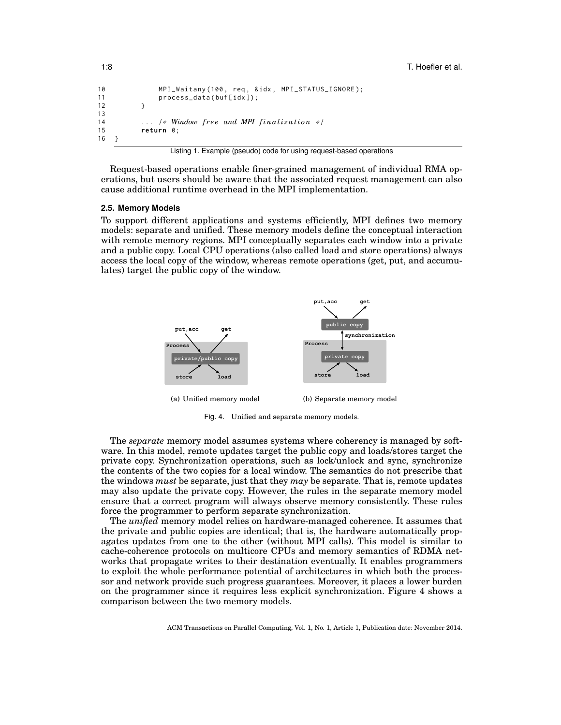```
10 MPI_Waitany (100 , req , & idx , MPI_STATUS_IGNORE );
11 process_data (buf[idx]);
12 \t313
14 ... /* Window free and MPI finalization */<br>15 return \theta;
         return 0:
16 }
```
Listing 1. Example (pseudo) code for using request-based operations

Request-based operations enable finer-grained management of individual RMA operations, but users should be aware that the associated request management can also cause additional runtime overhead in the MPI implementation.

### **2.5. Memory Models**

To support different applications and systems efficiently, MPI defines two memory models: separate and unified. These memory models define the conceptual interaction with remote memory regions. MPI conceptually separates each window into a private and a public copy. Local CPU operations (also called load and store operations) always access the local copy of the window, whereas remote operations (get, put, and accumulates) target the public copy of the window.



Fig. 4. Unified and separate memory models.

The *separate* memory model assumes systems where coherency is managed by software. In this model, remote updates target the public copy and loads/stores target the private copy. Synchronization operations, such as lock/unlock and sync, synchronize the contents of the two copies for a local window. The semantics do not prescribe that the windows *must* be separate, just that they *may* be separate. That is, remote updates may also update the private copy. However, the rules in the separate memory model ensure that a correct program will always observe memory consistently. These rules force the programmer to perform separate synchronization.

The *unified* memory model relies on hardware-managed coherence. It assumes that the private and public copies are identical; that is, the hardware automatically propagates updates from one to the other (without MPI calls). This model is similar to cache-coherence protocols on multicore CPUs and memory semantics of RDMA networks that propagate writes to their destination eventually. It enables programmers to exploit the whole performance potential of architectures in which both the processor and network provide such progress guarantees. Moreover, it places a lower burden on the programmer since it requires less explicit synchronization. Figure 4 shows a comparison between the two memory models.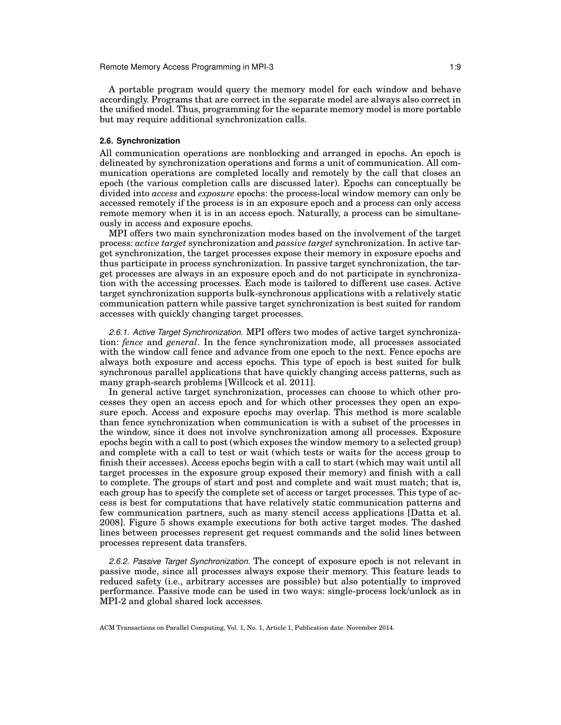A portable program would query the memory model for each window and behave accordingly. Programs that are correct in the separate model are always also correct in the unified model. Thus, programming for the separate memory model is more portable but may require additional synchronization calls.

# **2.6. Synchronization**

All communication operations are nonblocking and arranged in epochs. An epoch is delineated by synchronization operations and forms a unit of communication. All communication operations are completed locally and remotely by the call that closes an epoch (the various completion calls are discussed later). Epochs can conceptually be divided into *access* and *exposure* epochs: the process-local window memory can only be accessed remotely if the process is in an exposure epoch and a process can only access remote memory when it is in an access epoch. Naturally, a process can be simultaneously in access and exposure epochs.

MPI offers two main synchronization modes based on the involvement of the target process: *active target* synchronization and *passive target* synchronization. In active target synchronization, the target processes expose their memory in exposure epochs and thus participate in process synchronization. In passive target synchronization, the target processes are always in an exposure epoch and do not participate in synchronization with the accessing processes. Each mode is tailored to different use cases. Active target synchronization supports bulk-synchronous applications with a relatively static communication pattern while passive target synchronization is best suited for random accesses with quickly changing target processes.

*2.6.1. Active Target Synchronization.* MPI offers two modes of active target synchronization: *fence* and *general*. In the fence synchronization mode, all processes associated with the window call fence and advance from one epoch to the next. Fence epochs are always both exposure and access epochs. This type of epoch is best suited for bulk synchronous parallel applications that have quickly changing access patterns, such as many graph-search problems [Willcock et al. 2011].

In general active target synchronization, processes can choose to which other processes they open an access epoch and for which other processes they open an exposure epoch. Access and exposure epochs may overlap. This method is more scalable than fence synchronization when communication is with a subset of the processes in the window, since it does not involve synchronization among all processes. Exposure epochs begin with a call to post (which exposes the window memory to a selected group) and complete with a call to test or wait (which tests or waits for the access group to finish their accesses). Access epochs begin with a call to start (which may wait until all target processes in the exposure group exposed their memory) and finish with a call to complete. The groups of start and post and complete and wait must match; that is, each group has to specify the complete set of access or target processes. This type of access is best for computations that have relatively static communication patterns and few communication partners, such as many stencil access applications [Datta et al. 2008]. Figure 5 shows example executions for both active target modes. The dashed lines between processes represent get request commands and the solid lines between processes represent data transfers.

*2.6.2. Passive Target Synchronization.* The concept of exposure epoch is not relevant in passive mode, since all processes always expose their memory. This feature leads to reduced safety (i.e., arbitrary accesses are possible) but also potentially to improved performance. Passive mode can be used in two ways: single-process lock/unlock as in MPI-2 and global shared lock accesses.

ACM Transactions on Parallel Computing, Vol. 1, No. 1, Article 1, Publication date: November 2014.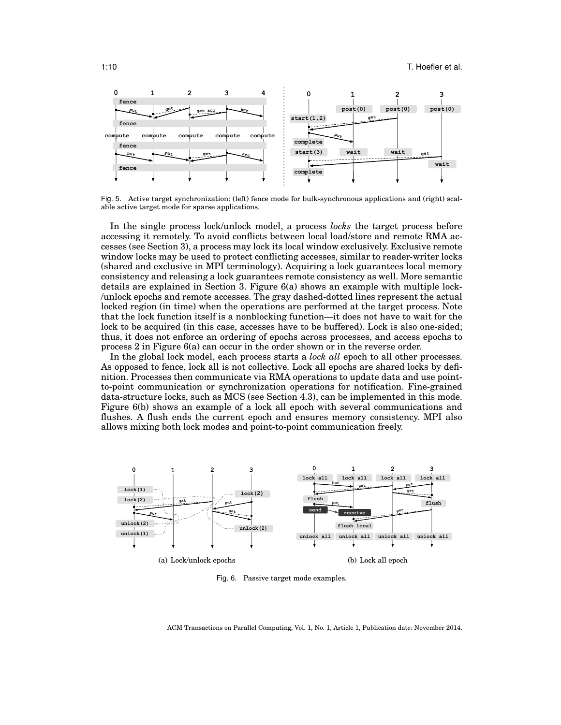

Fig. 5. Active target synchronization: (left) fence mode for bulk-synchronous applications and (right) scalable active target mode for sparse applications.

In the single process lock/unlock model, a process *locks* the target process before accessing it remotely. To avoid conflicts between local load/store and remote RMA accesses (see Section 3), a process may lock its local window exclusively. Exclusive remote window locks may be used to protect conflicting accesses, similar to reader-writer locks (shared and exclusive in MPI terminology). Acquiring a lock guarantees local memory consistency and releasing a lock guarantees remote consistency as well. More semantic details are explained in Section 3. Figure 6(a) shows an example with multiple lock- /unlock epochs and remote accesses. The gray dashed-dotted lines represent the actual locked region (in time) when the operations are performed at the target process. Note that the lock function itself is a nonblocking function—it does not have to wait for the lock to be acquired (in this case, accesses have to be buffered). Lock is also one-sided; thus, it does not enforce an ordering of epochs across processes, and access epochs to process 2 in Figure 6(a) can occur in the order shown or in the reverse order.

In the global lock model, each process starts a *lock all* epoch to all other processes. As opposed to fence, lock all is not collective. Lock all epochs are shared locks by definition. Processes then communicate via RMA operations to update data and use pointto-point communication or synchronization operations for notification. Fine-grained data-structure locks, such as MCS (see Section 4.3), can be implemented in this mode. Figure 6(b) shows an example of a lock all epoch with several communications and flushes. A flush ends the current epoch and ensures memory consistency. MPI also allows mixing both lock modes and point-to-point communication freely.



Fig. 6. Passive target mode examples.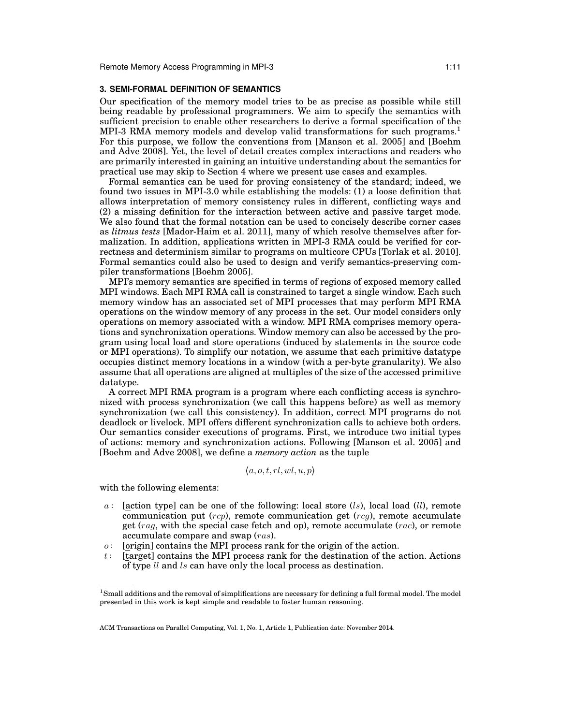# **3. SEMI-FORMAL DEFINITION OF SEMANTICS**

Our specification of the memory model tries to be as precise as possible while still being readable by professional programmers. We aim to specify the semantics with sufficient precision to enable other researchers to derive a formal specification of the MPI-3 RMA memory models and develop valid transformations for such programs.<sup>1</sup> For this purpose, we follow the conventions from [Manson et al. 2005] and [Boehm and Adve 2008]. Yet, the level of detail creates complex interactions and readers who are primarily interested in gaining an intuitive understanding about the semantics for practical use may skip to Section 4 where we present use cases and examples.

Formal semantics can be used for proving consistency of the standard; indeed, we found two issues in MPI-3.0 while establishing the models: (1) a loose definition that allows interpretation of memory consistency rules in different, conflicting ways and (2) a missing definition for the interaction between active and passive target mode. We also found that the formal notation can be used to concisely describe corner cases as *litmus tests* [Mador-Haim et al. 2011], many of which resolve themselves after formalization. In addition, applications written in MPI-3 RMA could be verified for correctness and determinism similar to programs on multicore CPUs [Torlak et al. 2010]. Formal semantics could also be used to design and verify semantics-preserving compiler transformations [Boehm 2005].

MPI's memory semantics are specified in terms of regions of exposed memory called MPI windows. Each MPI RMA call is constrained to target a single window. Each such memory window has an associated set of MPI processes that may perform MPI RMA operations on the window memory of any process in the set. Our model considers only operations on memory associated with a window. MPI RMA comprises memory operations and synchronization operations. Window memory can also be accessed by the program using local load and store operations (induced by statements in the source code or MPI operations). To simplify our notation, we assume that each primitive datatype occupies distinct memory locations in a window (with a per-byte granularity). We also assume that all operations are aligned at multiples of the size of the accessed primitive datatype.

A correct MPI RMA program is a program where each conflicting access is synchronized with process synchronization (we call this happens before) as well as memory synchronization (we call this consistency). In addition, correct MPI programs do not deadlock or livelock. MPI offers different synchronization calls to achieve both orders. Our semantics consider executions of programs. First, we introduce two initial types of actions: memory and synchronization actions. Following [Manson et al. 2005] and [Boehm and Adve 2008], we define a *memory action* as the tuple

 $(a, o, t, rl,wl, u, p)$ 

with the following elements:

- a: [action type] can be one of the following: local store  $(ls)$ , local load  $(ll)$ , remote communication put  $(rep)$ , remote communication get  $(reg)$ , remote accumulate get (rag, with the special case fetch and op), remote accumulate (rac), or remote accumulate compare and swap (ras).
- $o$ : [origin] contains the MPI process rank for the origin of the action.
- t: [target] contains the MPI process rank for the destination of the action. Actions of type ll and ls can have only the local process as destination.

 $1$ Small additions and the removal of simplifications are necessary for defining a full formal model. The model presented in this work is kept simple and readable to foster human reasoning.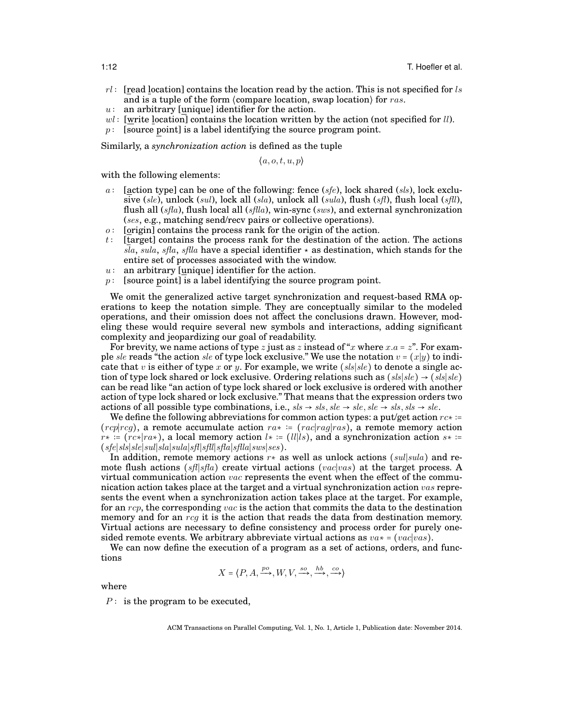- $rl:$  [read location] contains the location read by the action. This is not specified for ls and is a tuple of the form  $\langle$  compare location, swap location $\rangle$  for ras.
- $u:$  an arbitrary [unique] identifier for the action.
- $wl$ : [write location] contains the location written by the action (not specified for *ll*).
- $p$ : [source point] is a label identifying the source program point.

Similarly, a *synchronization action* is defined as the tuple

 $\langle a, o, t, u, p \rangle$ 

with the following elements:

- a : [action type] can be one of the following: fence  $(sfe)$ , lock shared  $(sls)$ , lock exclusive (sle), unlock (sul), lock all (sla), unlock all (sula), flush (sfl), flush local (sfll), flush all  $(sfa)$ , flush local all  $(sfla)$ , win-sync  $(sws)$ , and external synchronization (ses, e.g., matching send/recv pairs or collective operations).
- $o$ : [origin] contains the process rank for the origin of the action.
- t: [target] contains the process rank for the destination of the action. The actions sla, sula, sfla, sflla have a special identifier  $\star$  as destination, which stands for the entire set of processes associated with the window.
- $u:$  an arbitrary [unique] identifier for the action.
- $p$  : [source point] is a label identifying the source program point.

We omit the generalized active target synchronization and request-based RMA operations to keep the notation simple. They are conceptually similar to the modeled operations, and their omission does not affect the conclusions drawn. However, modeling these would require several new symbols and interactions, adding significant complexity and jeopardizing our goal of readability.

For brevity, we name actions of type z just as z instead of "x where  $x.a = z$ ". For example sle reads "the action sle of type lock exclusive." We use the notation  $v = (x|y)$  to indicate that v is either of type x or y. For example, we write  $(sls|sle)$  to denote a single action of type lock shared or lock exclusive. Ordering relations such as  $(sls|sle) \rightarrow (sls|sle)$ can be read like "an action of type lock shared or lock exclusive is ordered with another action of type lock shared or lock exclusive." That means that the expression orders two actions of all possible type combinations, i.e.,  $sls \rightarrow sls$ ,  $sle \rightarrow sle$ ,  $sle \rightarrow sls$ ,  $sls \rightarrow sle$ .

We define the following abbreviations for common action types: a put/get action  $rc* :=$  $(rc<sub>p</sub>|rc<sub>g</sub>)$ , a remote accumulate action  $ra<sub>∗</sub> := (rac|ra<sub>g</sub>|ras)$ , a remote memory action  $r* := (rc*|ra*),$  a local memory action  $l* := (ll|ls),$  and a synchronization action  $s* :=$ (sfe∣sls∣sle∣sul∣sla∣sula∣sfl∣sfll∣sfla∣sflla∣sws∣ses).

In addition, remote memory actions  $r*$  as well as unlock actions (sul|sula) and remote flush actions (sfl|sfla) create virtual actions (vac|vas) at the target process. A virtual communication action  $vac$  represents the event when the effect of the communication action takes place at the target and a virtual synchronization action  $vas$  represents the event when a synchronization action takes place at the target. For example, for an  $rcp$ , the corresponding vac is the action that commits the data to the destination memory and for an  $reg$  it is the action that reads the data from destination memory. Virtual actions are necessary to define consistency and process order for purely onesided remote events. We arbitrary abbreviate virtual actions as  $va* = (vac|vas)$ .

We can now define the execution of a program as a set of actions, orders, and functions

$$
X=\langle P, A, \xrightarrow{po} W, V, \xrightarrow{so} , \xrightarrow{hb} , \xrightarrow{co} \rangle
$$

where

 $P$ : is the program to be executed,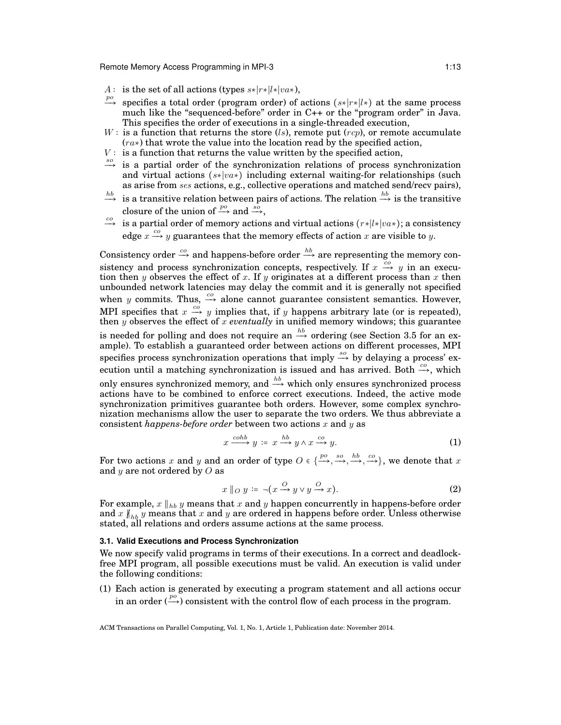Remote Memory Access Programming in MPI-3 1:13

- A: is the set of all actions (types  $s*|r*|l*|va*$ ),
- <sup>po</sup> specifies a total order (program order) of actions (s\*|r\*|l\*) at the same process much like the "sequenced-before" order in C++ or the "program order" in Java. This specifies the order of executions in a single-threaded execution,
- W : is a function that returns the store (ls), remote put (rcp), or remote accumulate  $(r_{a*})$  that wrote the value into the location read by the specified action,
- $V:$  is a function that returns the value written by the specified action,
- $\stackrel{so}{\longrightarrow}$  is a partial order of the synchronization relations of process synchronization and virtual actions (s∗∣va∗) including external waiting-for relationships (such as arise from ses actions, e.g., collective operations and matched send/recv pairs),
- $\stackrel{hb}{\longrightarrow}$  is a transitive relation between pairs of actions. The relation  $\stackrel{hb}{\longrightarrow}$  is the transitive closure of the union of  $\stackrel{po}{\longrightarrow}$  and  $\stackrel{s\bar{o}}{\longrightarrow}$ ,
- $\stackrel{co}{\longrightarrow}$  is a partial order of memory actions and virtual actions  $(r*|l*|va*);$  a consistency edge  $x \xrightarrow{co} y$  guarantees that the memory effects of action x are visible to y.

Consistency order  $\stackrel{co}{\longrightarrow}$  and happens-before order  $\stackrel{hb}{\longrightarrow}$  are representing the memory consistency and process synchronization concepts, respectively. If  $x \stackrel{co}{\rightarrow} y$  in an execution then y observes the effect of x. If y originates at a different process than x then unbounded network latencies may delay the commit and it is generally not specified when y commits. Thus,  $\stackrel{co}{\longrightarrow}$  alone cannot guarantee consistent semantics. However, MPI specifies that  $x \stackrel{co}{\rightarrow} y$  implies that, if y happens arbitrary late (or is repeated), then y observes the effect of x *eventually* in unified memory windows; this guarantee is needed for polling and does not require an  $\stackrel{hb}{\longrightarrow}$  ordering (see Section 3.5 for an example). To establish a guaranteed order between actions on different processes, MPI specifies process synchronization operations that imply  $\stackrel{so}{\longrightarrow}$  by delaying a process' execution until a matching synchronization is issued and has arrived. Both  $\stackrel{co}{\longrightarrow}$ , which only ensures synchronized memory, and  $\stackrel{hb}{\longrightarrow}$  which only ensures synchronized process actions have to be combined to enforce correct executions. Indeed, the active mode synchronization primitives guarantee both orders. However, some complex synchronization mechanisms allow the user to separate the two orders. We thus abbreviate a consistent *happens-before order* between two actions x and y as

$$
x \xrightarrow{coh} y := x \xrightarrow{hb} y \wedge x \xrightarrow{co} y. \tag{1}
$$

For two actions x and y and an order of type  $O \in \{\frac{po}{\longrightarrow}, \frac{so}{\longrightarrow}, \frac{hb}{\longrightarrow}, \frac{co}{\longrightarrow}\}$ , we denote that x and  $y$  are not ordered by  $O$  as

$$
x \|_{O} y := \neg (x \xrightarrow{O} y \lor y \xrightarrow{O} x). \tag{2}
$$

For example,  $x \parallel_{hb} y$  means that x and y happen concurrently in happens-before order and x  $\|_{hb}$  y means that x and y are ordered in happens before order. Unless otherwise stated, all relations and orders assume actions at the same process.

# **3.1. Valid Executions and Process Synchronization**

We now specify valid programs in terms of their executions. In a correct and deadlockfree MPI program, all possible executions must be valid. An execution is valid under the following conditions:

(1) Each action is generated by executing a program statement and all actions occur in an order  $(\stackrel{po}{\longrightarrow})$  consistent with the control flow of each process in the program.

ACM Transactions on Parallel Computing, Vol. 1, No. 1, Article 1, Publication date: November 2014.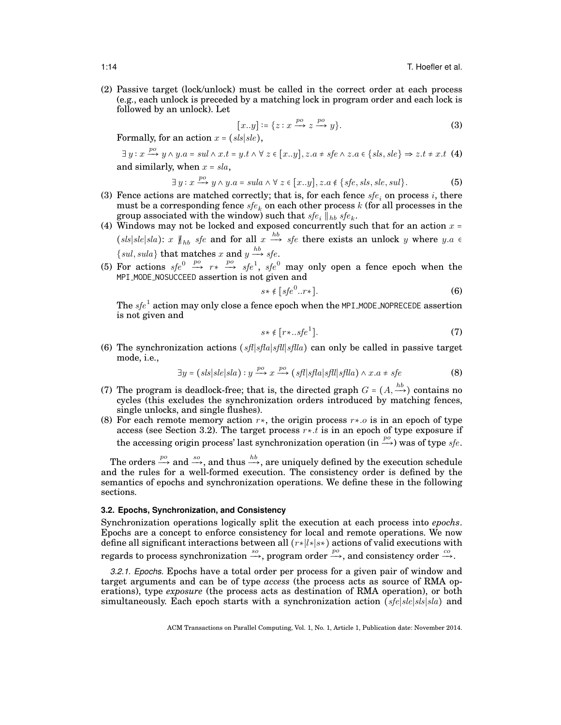(2) Passive target (lock/unlock) must be called in the correct order at each process (e.g., each unlock is preceded by a matching lock in program order and each lock is followed by an unlock). Let

$$
[x \cdot y] \coloneqq \{ z : x \xrightarrow{po} z \xrightarrow{po} y \}. \tag{3}
$$

Formally, for an action  $x = (sls|s|e)$ ,

$$
\exists y : x \xrightarrow{po} y \wedge y.a = sul \wedge x.t = y.t \wedge \forall z \in [x..y], z.a \neq sfe \wedge z.a \in \{sls, sle\} \Rightarrow z.t \neq x.t \ (4)
$$
  
and similarly, when  $x = sla$ ,

$$
\exists y : x \xrightarrow{po} y \land y.a = sula \land \forall z \in [x..y], z.a \notin \{sfe, sls, sle, sul\}.
$$
 (5)

- (3) Fence actions are matched correctly; that is, for each fence  $sfe_i$  on process i, there must be a corresponding fence  $\mathit{sfe}_k$  on each other process  $k$  (for all processes in the group associated with the window) such that  $\textit{sfe}_i ||_{\textit{hb}} \textit{sfe}_k$ .
- (4) Windows may not be locked and exposed concurrently such that for an action  $x$  = (sls|sle|sla): x  $\parallel_{hb}$  sfe and for all  $x \stackrel{hb}{\longrightarrow}$  sfe there exists an unlock y where y.a  $\in$ {sul, sula} that matches x and  $y \stackrel{hb}{\longrightarrow} sfe$ .
- (5) For actions  $sfe^{0} \stackrel{po}{\longrightarrow} rs \stackrel{po}{\longrightarrow} sfe^{1}$ ,  $sfe^{0}$  may only open a fence epoch when the MPI MODE NOSUCCEED assertion is not given and

$$
s \ast \notin [sfe^0..r \ast]. \tag{6}
$$

The  $sfe^{1}$  action may only close a fence epoch when the <code>MPI\_MODE\_NOPRECEDE</code> assertion is not given and

$$
s \star \notin [r \star \ldots sfe^1]. \tag{7}
$$

(6) The synchronization actions (sfl|sfla|sfl|sfla) can only be called in passive target mode, i.e.,

$$
\exists y = (sls|sle|sla) : y \xrightarrow{po} x \xrightarrow{po} (sfl|sfla|sfll|sflla) \wedge x.a \neq sfe
$$
 (8)

- (7) The program is deadlock-free; that is, the directed graph  $G = (A, \stackrel{hb}{\longrightarrow})$  contains no cycles (this excludes the synchronization orders introduced by matching fences, single unlocks, and single flushes).
- (8) For each remote memory action  $r\ast$ , the origin process  $r\ast o$  is in an epoch of type access (see Section 3.2). The target process  $r * t$  is in an epoch of type exposure if the accessing origin process' last synchronization operation (in  $\stackrel{po}{\longrightarrow}$ ) was of type sfe.

The orders  $\stackrel{po}{\longrightarrow}$  and  $\stackrel{so}{\longrightarrow}$ , and thus  $\stackrel{hb}{\longrightarrow}$ , are uniquely defined by the execution schedule and the rules for a well-formed execution. The consistency order is defined by the semantics of epochs and synchronization operations. We define these in the following sections.

# **3.2. Epochs, Synchronization, and Consistency**

Synchronization operations logically split the execution at each process into *epochs*. Epochs are a concept to enforce consistency for local and remote operations. We now define all significant interactions between all (r∗∣l∗∣s∗) actions of valid executions with regards to process synchronization  $\stackrel{so}{\longrightarrow}$ , program order  $\stackrel{po}{\longrightarrow}$ , and consistency order  $\stackrel{co}{\longrightarrow}$ .

*3.2.1. Epochs.* Epochs have a total order per process for a given pair of window and target arguments and can be of type *access* (the process acts as source of RMA operations), type *exposure* (the process acts as destination of RMA operation), or both simultaneously. Each epoch starts with a synchronization action (sfe|sle|sls|sla) and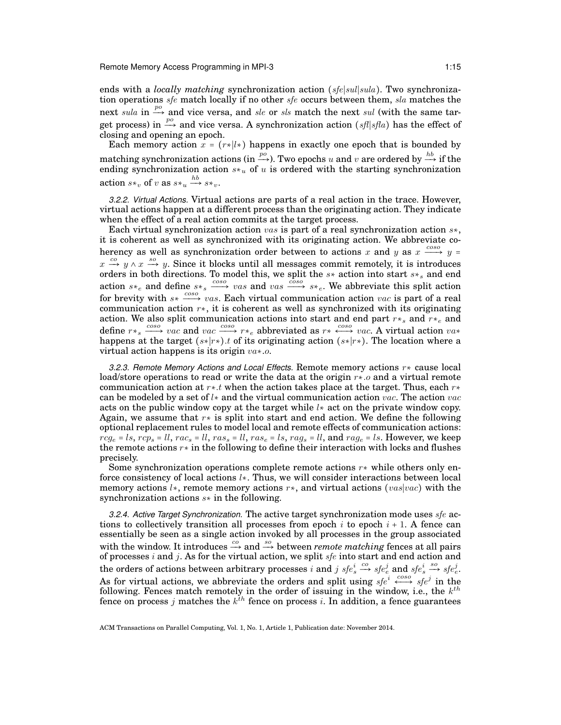ends with a *locally matching* synchronization action (sfe∣sul∣sula). Two synchronization operations  $sfe$  match locally if no other  $sfe$  occurs between them,  $sla$  matches the next sula in  $\stackrel{po}{\longrightarrow}$  and vice versa, and sle or sls match the next sul (with the same target process) in  $\stackrel{po}{\longrightarrow}$  and vice versa. A synchronization action (sfl|sfla) has the effect of closing and opening an epoch.

Each memory action  $x = (r * |l*)$  happens in exactly one epoch that is bounded by matching synchronization actions (in  $\overset{po}{\longrightarrow}$ ). Two epochs  $u$  and  $v$  are ordered by  $\overset{hb}{\longrightarrow}$  if the ending synchronization action  $s*_u$  of u is ordered with the starting synchronization action  $s*_v$  of v as  $s*_u \stackrel{hb}{\longrightarrow} s*_v$ .

*3.2.2. Virtual Actions.* Virtual actions are parts of a real action in the trace. However, virtual actions happen at a different process than the originating action. They indicate when the effect of a real action commits at the target process.

Each virtual synchronization action vas is part of a real synchronization action  $s*,$ it is coherent as well as synchronized with its originating action. We abbreviate coherency as well as synchronization order between to actions x and y as  $x \xrightarrow{coso} y =$  $x \stackrel{co}{\rightarrow} y \wedge x \stackrel{so}{\rightarrow} y$ . Since it blocks until all messages commit remotely, it is introduces orders in both directions. To model this, we split the  $s*$  action into start  $s*_{s}$  and end action  $s*_e$  and define  $s*_s \stackrel{cos\sigma}{\longrightarrow} vas$  and  $vas \stackrel{cos\sigma}{\longrightarrow} s*_e$ . We abbreviate this split action for brevity with  $s* \xrightarrow{coso} vas$ . Each virtual communication action vac is part of a real communication action  $r \star$ , it is coherent as well as synchronized with its originating action. We also split communication actions into start and end part  $r\ast_{s}$  and  $r\ast_{e}$  and define  $r*_s \stackrel{cos\sigma}{\longrightarrow} rac$  and  $vac \stackrel{cos\sigma}{\longrightarrow} r*_e$  abbreviated as  $r*\stackrel{cos\sigma}{\longleftrightarrow} vac$ . A virtual action  $va*\tau^*$ happens at the target  $(s∗|r∗)$ .t of its originating action  $(s∗|r∗)$ . The location where a virtual action happens is its origin va∗.o.

*3.2.3. Remote Memory Actions and Local Effects.* Remote memory actions r∗ cause local load/store operations to read or write the data at the origin  $r \star o$  and a virtual remote communication action at  $r \star t$  when the action takes place at the target. Thus, each  $r \star$ can be modeled by a set of  $l*$  and the virtual communication action vac. The action vac acts on the public window copy at the target while  $l*$  act on the private window copy. Again, we assume that  $r*$  is split into start and end action. We define the following optional replacement rules to model local and remote effects of communication actions:  $r c g_e = l s$ ,  $r c p_s = l l$ ,  $r a c_s = l l$ ,  $r a s_s = l l$ ,  $r a s_e = l s$ ,  $r a g_s = l l$ , and  $r a g_e = l s$ . However, we keep the remote actions r∗ in the following to define their interaction with locks and flushes precisely.

Some synchronization operations complete remote actions  $r*$  while others only enforce consistency of local actions l∗. Thus, we will consider interactions between local memory actions  $l^*$ , remote memory actions  $r^*$ , and virtual actions (vas|vac) with the synchronization actions s<sup>∗</sup> in the following.

*3.2.4. Active Target Synchronization.* The active target synchronization mode uses sfe actions to collectively transition all processes from epoch  $i$  to epoch  $i + 1$ . A fence can essentially be seen as a single action invoked by all processes in the group associated with the window. It introduces  $\stackrel{co}{\longrightarrow}$  and  $\stackrel{so}{\longrightarrow}$  between *remote matching* fences at all pairs of processes i and j. As for the virtual action, we split  $sfe$  into start and end action and the orders of actions between arbitrary processes  $i$  and  $j$   $\mathit{sfe}^i_s$  $\xrightarrow{co} s f e_e^j$  and  $s f e_s^i$  $\xrightarrow{so} s f e_e^j$ . As for virtual actions, we abbreviate the orders and split using  $s f e^{i} \leftrightarrow s f e^{j}$  in the following. Fences match remotely in the order of issuing in the window, i.e., the  $k^{th}$ fence on process j matches the  $k^{th}$  fence on process i. In addition, a fence guarantees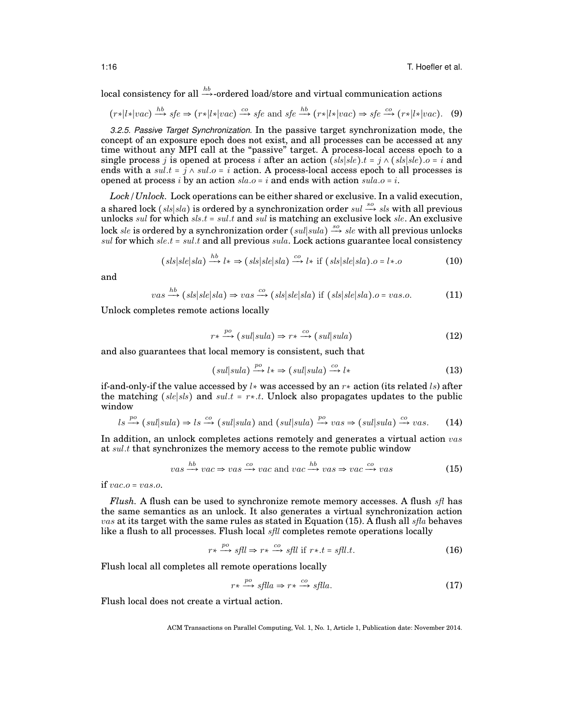local consistency for all  $\stackrel{hb}{\longrightarrow}$ -ordered load/store and virtual communication actions

$$
(r*|l*|vac) \xrightarrow{hb} sfe \Rightarrow (r*|l*|vac) \xrightarrow{co} sfe \text{ and } sfe \xrightarrow{hb} (r*|l*|vac) \Rightarrow sfe \xrightarrow{co} (r*|l*|vac). \tag{9}
$$

*3.2.5. Passive Target Synchronization.* In the passive target synchronization mode, the concept of an exposure epoch does not exist, and all processes can be accessed at any time without any MPI call at the "passive" target. A process-local access epoch to a single process j is opened at process i after an action  $(sls|sle)$ .t = j  $\wedge$   $(sls|sle)$ .o = i and ends with a sul.t =  $j \wedge sul.o = i$  action. A process-local access epoch to all processes is opened at process i by an action  $sla.o = i$  and ends with action  $sula.o = i$ .

*Lock/Unlock.* Lock operations can be either shared or exclusive. In a valid execution, a shared lock  $(sls|sla)$  is ordered by a synchronization order  $sul \stackrel{so}{\longrightarrow} sls$  with all previous unlocks sul for which sls.t = sul.t and sul is matching an exclusive lock sle. An exclusive lock sle is ordered by a synchronization order (sul|sula)  $\stackrel{so}{\longrightarrow}$  sle with all previous unlocks sul for which sle.t = sul.t and all previous sula. Lock actions guarantee local consistency

$$
(sls|sle|sla) \xrightarrow{hb} l* \Rightarrow (sls|sle|sla) \xrightarrow{co} l* \text{ if } (sls|sle|sla).o = l*.o \tag{10}
$$

and

$$
vas \xrightarrow{hb} (sls|sle|sla) \Rightarrow vas \xrightarrow{co} (sls|sle|sla) \text{ if } (sls|sle|sla).o = vas.o. \tag{11}
$$

Unlock completes remote actions locally

$$
r \ast \xrightarrow{po} (sul|sula) \Rightarrow r \ast \xrightarrow{co} (sul|sula)
$$
 (12)

and also guarantees that local memory is consistent, such that

$$
(sul|sula) \xrightarrow{po} l* \Rightarrow (sul|sula) \xrightarrow{co} l* \tag{13}
$$

if-and-only-if the value accessed by  $l*$  was accessed by an  $r*$  action (its related ls) after the matching  $(sle|sls)$  and  $sult = r*.t$ . Unlock also propagates updates to the public window

$$
ls \xrightarrow{po} (sul|sula) \Rightarrow ls \xrightarrow{co} (sul|sula)
$$
 and  $(sul|sula) \xrightarrow{po} vas \Rightarrow (sul|sula) \xrightarrow{co} vas.$  (14)

In addition, an unlock completes actions remotely and generates a virtual action vas at sul.t that synchronizes the memory access to the remote public window

$$
vas \xrightarrow{hb} vac \Rightarrow vas \xrightarrow{co} vac \text{ and } vac \xrightarrow{hb} vas \Rightarrow vac \xrightarrow{co} vas \qquad (15)
$$

if  $vac.o = vas.o.$ 

*Flush.* A flush can be used to synchronize remote memory accesses. A flush *sfl* has the same semantics as an unlock. It also generates a virtual synchronization action  $\nu as$  at its target with the same rules as stated in Equation (15). A flush all sfla behaves like a flush to all processes. Flush local *sfll* completes remote operations locally

$$
r \star \xrightarrow{po} sflu \Rightarrow r \star \xrightarrow{co} sflu \text{ if } r \star \cdot t = sflu \cdot t. \tag{16}
$$

Flush local all completes all remote operations locally

$$
r \star \xrightarrow{po} s \text{flla} \Rightarrow r \star \xrightarrow{co} s \text{flla}.\tag{17}
$$

Flush local does not create a virtual action.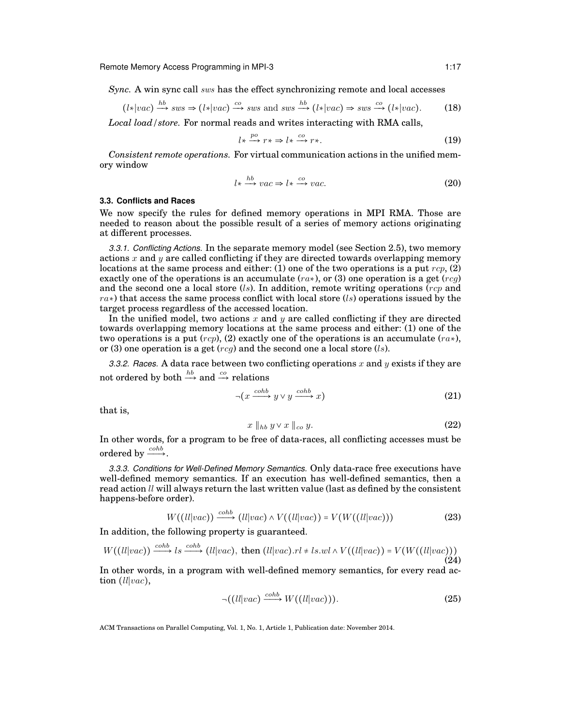*Sync.* A win sync call sws has the effect synchronizing remote and local accesses

$$
(l*|vac) \xrightarrow{hb} sws \Rightarrow (l*|vac) \xrightarrow{co} sws \text{ and } sws \xrightarrow{hb} (l*|vac) \Rightarrow sws \xrightarrow{co} (l*|vac).
$$
 (18)

*Local load/store.* For normal reads and writes interacting with RMA calls,

$$
l \ast \xrightarrow{po} r \ast \Rightarrow l \ast \xrightarrow{co} r \ast.
$$
 (19)

*Consistent remote operations.* For virtual communication actions in the unified memory window

$$
l \ast \xrightarrow{hb} vac \Rightarrow l \ast \xrightarrow{co} vac. \tag{20}
$$

# **3.3. Conflicts and Races**

We now specify the rules for defined memory operations in MPI RMA. Those are needed to reason about the possible result of a series of memory actions originating at different processes.

*3.3.1. Conflicting Actions.* In the separate memory model (see Section 2.5), two memory actions x and y are called conflicting if they are directed towards overlapping memory locations at the same process and either: (1) one of the two operations is a put  $rcp$ , (2) exactly one of the operations is an accumulate  $(rx)$ , or (3) one operation is a get  $(rca)$ and the second one a local store (ls). In addition, remote writing operations (rcp and  $ra\ast$ ) that access the same process conflict with local store (ls) operations issued by the target process regardless of the accessed location.

In the unified model, two actions x and y are called conflicting if they are directed towards overlapping memory locations at the same process and either: (1) one of the two operations is a put  $(rcn)$ , (2) exactly one of the operations is an accumulate  $(r a*)$ , or (3) one operation is a get  $(r c q)$  and the second one a local store (ls).

*3.3.2. Races.* A data race between two conflicting operations x and y exists if they are not ordered by both  $\stackrel{hb}{\longrightarrow}$  and  $\stackrel{co}{\longrightarrow}$  relations

$$
\neg(x \xrightarrow{cohb} y \lor y \xrightarrow{cohb} x)
$$
 (21)

that is,

$$
x \parallel_{hb} y \vee x \parallel_{co} y. \tag{22}
$$

In other words, for a program to be free of data-races, all conflicting accesses must be ordered by  $\xrightarrow{cohb}$ .

*3.3.3. Conditions for Well-Defined Memory Semantics.* Only data-race free executions have well-defined memory semantics. If an execution has well-defined semantics, then a read action  $ll$  will always return the last written value (last as defined by the consistent happens-before order).

$$
W((ll|vac)) \xrightarrow{cohb} (ll|vac) \wedge V((ll|vac)) = V(W((ll|vac))) \tag{23}
$$

In addition, the following property is guaranteed.

$$
W((ll|vac)) \xrightarrow{cohb} ls \xrightarrow{cohb} (ll|vac), \text{ then } (ll|vac).rl \neq ls.wl \land V((ll|vac)) = V(W((ll|vac)))
$$
\n(24)

In other words, in a program with well-defined memory semantics, for every read action (ll|vac),

$$
\neg((\ell\ell|vac) \xrightarrow{coh} W((\ell\ell|vac))).\tag{25}
$$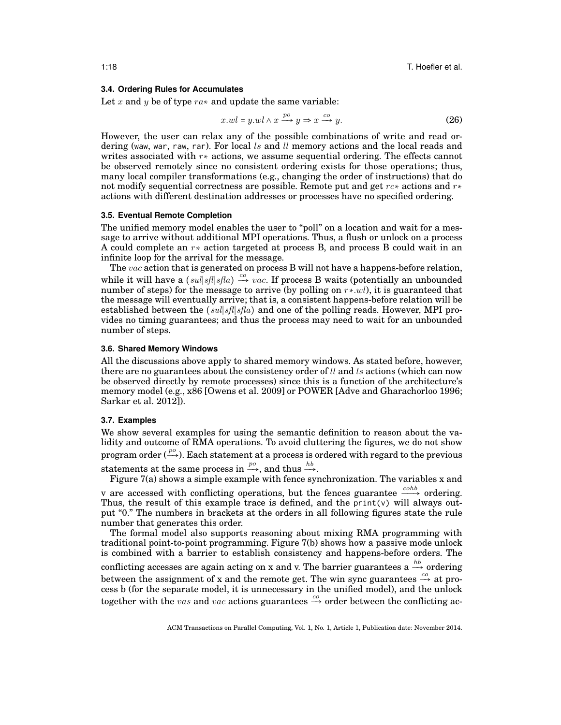# **3.4. Ordering Rules for Accumulates**

Let x and y be of type  $ra*$  and update the same variable:

$$
x.wl = y.wl \land x \xrightarrow{po} y \Rightarrow x \xrightarrow{co} y. \tag{26}
$$

However, the user can relax any of the possible combinations of write and read ordering (waw, war, raw, rar). For local  $ls$  and  $ll$  memory actions and the local reads and writes associated with  $r*$  actions, we assume sequential ordering. The effects cannot be observed remotely since no consistent ordering exists for those operations; thus, many local compiler transformations (e.g., changing the order of instructions) that do not modify sequential correctness are possible. Remote put and get  $rc*$  actions and  $r*$ actions with different destination addresses or processes have no specified ordering.

### **3.5. Eventual Remote Completion**

The unified memory model enables the user to "poll" on a location and wait for a message to arrive without additional MPI operations. Thus, a flush or unlock on a process A could complete an r∗ action targeted at process B, and process B could wait in an infinite loop for the arrival for the message.

The vac action that is generated on process B will not have a happens-before relation, while it will have a  $(sul|sfl|sfla) \stackrel{co}{\longrightarrow} vac$ . If process B waits (potentially an unbounded number of steps) for the message to arrive (by polling on  $r * . . . w l$ ), it is guaranteed that the message will eventually arrive; that is, a consistent happens-before relation will be established between the  $(sul|sfl|sfla)$  and one of the polling reads. However, MPI provides no timing guarantees; and thus the process may need to wait for an unbounded number of steps.

# **3.6. Shared Memory Windows**

All the discussions above apply to shared memory windows. As stated before, however, there are no guarantees about the consistency order of  $ll$  and  $ls$  actions (which can now be observed directly by remote processes) since this is a function of the architecture's memory model (e.g., x86 [Owens et al. 2009] or POWER [Adve and Gharachorloo 1996; Sarkar et al. 2012]).

### **3.7. Examples**

We show several examples for using the semantic definition to reason about the validity and outcome of RMA operations. To avoid cluttering the figures, we do not show program order  $\stackrel{po}{(\rightarrow)}$ ). Each statement at a process is ordered with regard to the previous statements at the same process in  $\stackrel{po}{\longrightarrow}$ , and thus  $\stackrel{hb}{\longrightarrow}$ .

Figure 7(a) shows a simple example with fence synchronization. The variables x and v are accessed with conflicting operations, but the fences guarantee  $\xrightarrow{coh}$  ordering. Thus, the result of this example trace is defined, and the  $print(v)$  will always output "0." The numbers in brackets at the orders in all following figures state the rule number that generates this order.

The formal model also supports reasoning about mixing RMA programming with traditional point-to-point programming. Figure 7(b) shows how a passive mode unlock is combined with a barrier to establish consistency and happens-before orders. The conflicting accesses are again acting on x and v. The barrier guarantees a  $\stackrel{hb}{\longrightarrow}$  ordering between the assignment of x and the remote get. The win sync guarantees  $\stackrel{co}{\rightarrow}$  at process b (for the separate model, it is unnecessary in the unified model), and the unlock together with the vas and vac actions guarantees  $\stackrel{co}{\rightarrow}$  order between the conflicting ac-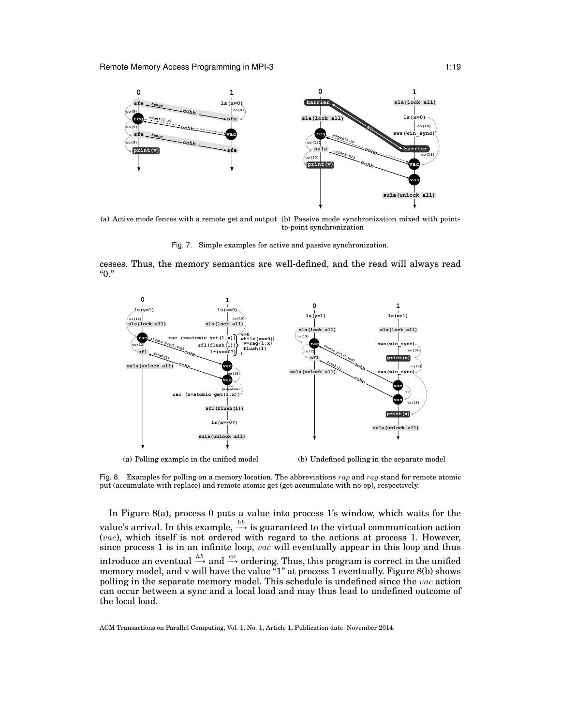

(a) Active mode fences with a remote get and output (b) Passive mode synchronization mixed with pointto-point synchronization

Fig. 7. Simple examples for active and passive synchronization.

cesses. Thus, the memory semantics are well-defined, and the read will always read "0."



(b) Undefined polling in the separate model

Fig. 8. Examples for polling on a memory location. The abbreviations  $rap$  and  $rag$  stand for remote atomic put (accumulate with replace) and remote atomic get (get accumulate with no-op), respectively.

In Figure 8(a), process 0 puts a value into process 1's window, which waits for the value's arrival. In this example,  $\stackrel{hb}{\longrightarrow}$  is guaranteed to the virtual communication action  $(vac)$ , which itself is not ordered with regard to the actions at process 1. However, since process 1 is in an infinite loop, vac will eventually appear in this loop and thus introduce an eventual  $\stackrel{hb}{\longrightarrow}$  and  $\stackrel{co}{\longrightarrow}$  ordering. Thus, this program is correct in the unified memory model, and v will have the value "1" at process 1 eventually. Figure 8(b) shows polling in the separate memory model. This schedule is undefined since the vac action can occur between a sync and a local load and may thus lead to undefined outcome of the local load.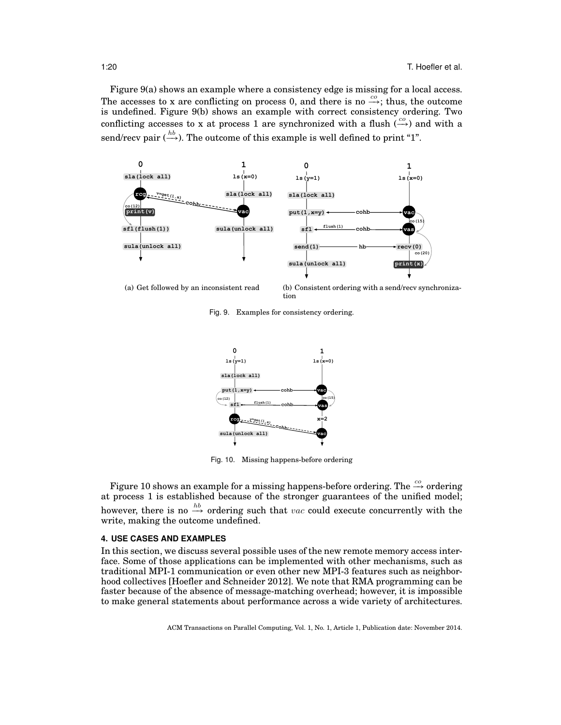Figure 9(a) shows an example where a consistency edge is missing for a local access. The accesses to x are conflicting on process 0, and there is no  $\overset{co}{\longrightarrow}$ ; thus, the outcome is undefined. Figure 9(b) shows an example with correct consistency ordering. Two conflicting accesses to x at process 1 are synchronized with a flush  $\stackrel{co}{\longleftrightarrow}$  and with a send/recv pair ( $\stackrel{hb}{\longrightarrow}$ ). The outcome of this example is well defined to print "1".



(a) Get followed by an inconsistent read

(b) Consistent ordering with a send/recv synchronization

Fig. 9. Examples for consistency ordering.



Fig. 10. Missing happens-before ordering

Figure 10 shows an example for a missing happens-before ordering. The  $\overset{co}{\longrightarrow}$  ordering at process 1 is established because of the stronger guarantees of the unified model; however, there is no  $\stackrel{hb}{\longrightarrow}$  ordering such that vac could execute concurrently with the write, making the outcome undefined.

# **4. USE CASES AND EXAMPLES**

In this section, we discuss several possible uses of the new remote memory access interface. Some of those applications can be implemented with other mechanisms, such as traditional MPI-1 communication or even other new MPI-3 features such as neighborhood collectives [Hoefler and Schneider 2012]. We note that RMA programming can be faster because of the absence of message-matching overhead; however, it is impossible to make general statements about performance across a wide variety of architectures.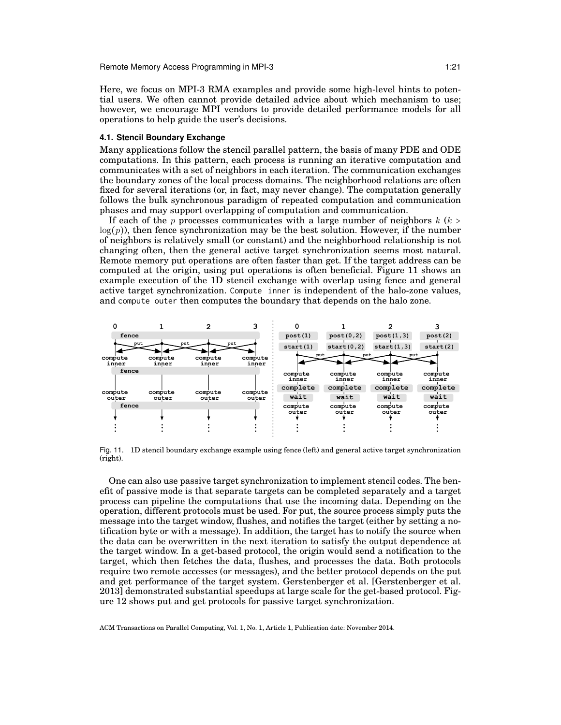Here, we focus on MPI-3 RMA examples and provide some high-level hints to potential users. We often cannot provide detailed advice about which mechanism to use; however, we encourage MPI vendors to provide detailed performance models for all operations to help guide the user's decisions.

# **4.1. Stencil Boundary Exchange**

Many applications follow the stencil parallel pattern, the basis of many PDE and ODE computations. In this pattern, each process is running an iterative computation and communicates with a set of neighbors in each iteration. The communication exchanges the boundary zones of the local process domains. The neighborhood relations are often fixed for several iterations (or, in fact, may never change). The computation generally follows the bulk synchronous paradigm of repeated computation and communication phases and may support overlapping of computation and communication.

If each of the p processes communicates with a large number of neighbors  $k$  ( $k >$  $log(p)$ , then fence synchronization may be the best solution. However, if the number of neighbors is relatively small (or constant) and the neighborhood relationship is not changing often, then the general active target synchronization seems most natural. Remote memory put operations are often faster than get. If the target address can be computed at the origin, using put operations is often beneficial. Figure 11 shows an example execution of the 1D stencil exchange with overlap using fence and general active target synchronization. Compute inner is independent of the halo-zone values, and compute outer then computes the boundary that depends on the halo zone.



Fig. 11. 1D stencil boundary exchange example using fence (left) and general active target synchronization (right).

One can also use passive target synchronization to implement stencil codes. The benefit of passive mode is that separate targets can be completed separately and a target process can pipeline the computations that use the incoming data. Depending on the operation, different protocols must be used. For put, the source process simply puts the message into the target window, flushes, and notifies the target (either by setting a notification byte or with a message). In addition, the target has to notify the source when the data can be overwritten in the next iteration to satisfy the output dependence at the target window. In a get-based protocol, the origin would send a notification to the target, which then fetches the data, flushes, and processes the data. Both protocols require two remote accesses (or messages), and the better protocol depends on the put and get performance of the target system. Gerstenberger et al. [Gerstenberger et al. 2013] demonstrated substantial speedups at large scale for the get-based protocol. Figure 12 shows put and get protocols for passive target synchronization.

ACM Transactions on Parallel Computing, Vol. 1, No. 1, Article 1, Publication date: November 2014.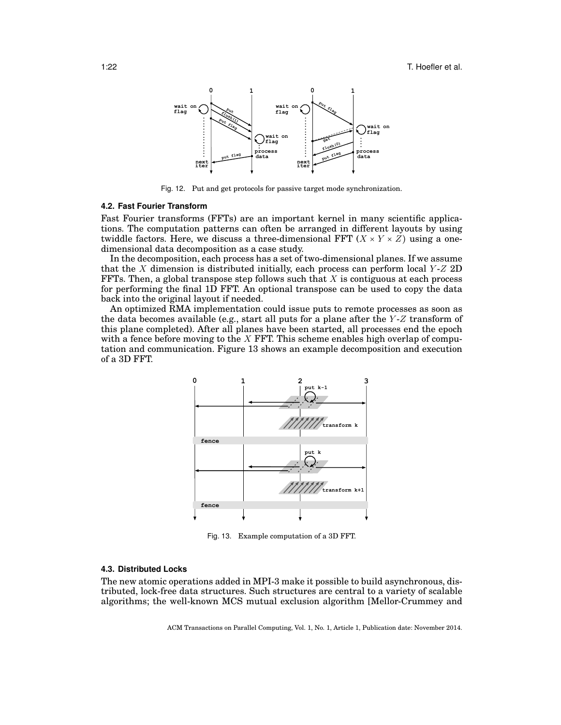

Fig. 12. Put and get protocols for passive target mode synchronization.

# **4.2. Fast Fourier Transform**

Fast Fourier transforms (FFTs) are an important kernel in many scientific applications. The computation patterns can often be arranged in different layouts by using twiddle factors. Here, we discuss a three-dimensional FFT  $(X \times Y \times Z)$  using a onedimensional data decomposition as a case study.

In the decomposition, each process has a set of two-dimensional planes. If we assume that the X dimension is distributed initially, each process can perform local  $Y$ - $Z$  2D FFTs. Then, a global transpose step follows such that  $X$  is contiguous at each process for performing the final 1D FFT. An optional transpose can be used to copy the data back into the original layout if needed.

An optimized RMA implementation could issue puts to remote processes as soon as the data becomes available (e.g., start all puts for a plane after the  $Y-Z$  transform of this plane completed). After all planes have been started, all processes end the epoch with a fence before moving to the  $X$  FFT. This scheme enables high overlap of computation and communication. Figure 13 shows an example decomposition and execution of a 3D FFT.



Fig. 13. Example computation of a 3D FFT.

#### **4.3. Distributed Locks**

The new atomic operations added in MPI-3 make it possible to build asynchronous, distributed, lock-free data structures. Such structures are central to a variety of scalable algorithms; the well-known MCS mutual exclusion algorithm [Mellor-Crummey and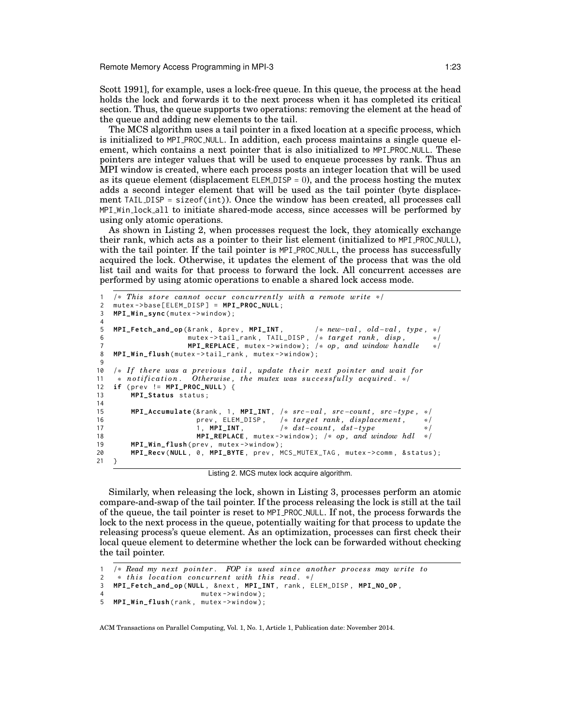Remote Memory Access Programming in MPI-3 1:23

Scott 1991], for example, uses a lock-free queue. In this queue, the process at the head holds the lock and forwards it to the next process when it has completed its critical section. Thus, the queue supports two operations: removing the element at the head of the queue and adding new elements to the tail.

The MCS algorithm uses a tail pointer in a fixed location at a specific process, which is initialized to MPI PROC NULL. In addition, each process maintains a single queue element, which contains a next pointer that is also initialized to MPI\_PROC\_NULL. These pointers are integer values that will be used to enqueue processes by rank. Thus an MPI window is created, where each process posts an integer location that will be used as its queue element (displacement ELEM\_DISP =  $0$ ), and the process hosting the mutex adds a second integer element that will be used as the tail pointer (byte displacement TAIL DISP = sizeof(int)). Once the window has been created, all processes call MPI Win lock all to initiate shared-mode access, since accesses will be performed by using only atomic operations.

As shown in Listing 2, when processes request the lock, they atomically exchange their rank, which acts as a pointer to their list element (initialized to MPI PROC NULL), with the tail pointer. If the tail pointer is MPI\_PROC\_NULL, the process has successfully acquired the lock. Otherwise, it updates the element of the process that was the old list tail and waits for that process to forward the lock. All concurrent accesses are performed by using atomic operations to enable a shared lock access mode.

```
1 /* This store cannot occur concurrently with a remote write */<br>2 mutex->base[FIFM_DISP] = MPI_PROC_NUII :
     mutes - <b>base [ELEM_DISP] = MPI_PROC_NULL</b>;3 MPI_Win_sync(mutex->window);
 4
 5 MPI_Fetch_and_op (& rank , & prev , MPI_INT , /* new−val , old−val , type , */
 6 mutex -> tail_rank, TAIL_DISP, /* target rank, disp, */<br>7 MPI REPLACE. mutex -> window): /* op. and window handle */
 7 MPI_REPLACE, mutex->window); /* op, and window handle<br>8 MPI_Win_flush(mutex->tail_rank, mutex->window);
    MPI_Win_flush (mutex ->tail_rank, mutex ->window);
 9
10 /* If there was a previous tail, update their next pointer and wait for<br>11 * notification. Otherwise, the mutex was successfully acquired. */
11 * notification. Otherwise, the mutex was successfully acquired. */<br>12 if (prev != MPI_PROC_NULL) {
     if (prev != MPI_PROC_NULL) {
13 MPI_Status status ;
14<br>1515 MPI_Accumulate (& rank , 1 , MPI_INT , /* src −val , src −count , src −type , */
16 prev, ELEM_DISP, /* target rank, displacement, */<br>17 1, MPI_INT, /* dst-count, dst-type */
17 1, MPI_INT, /* dst−count, dst−type */<br>18 18 MPI_REPLACE, mutex->window); /* op. and window hdl */
18 MPI_REPLACE, mutex->window); /* op, and window hdl<br>19 MPI Win flush(prev. mutex->window):
          MPI_Win_flush ( prev, mutex ->window );
20 MPI_Recv(NULL, 0, MPI_BYTE, prev, MCS_MUTEX_TAG, mutex->comm, &status);
21 }
```
Listing 2. MCS mutex lock acquire algorithm.

Similarly, when releasing the lock, shown in Listing 3, processes perform an atomic compare-and-swap of the tail pointer. If the process releasing the lock is still at the tail of the queue, the tail pointer is reset to MPI PROC NULL. If not, the process forwards the lock to the next process in the queue, potentially waiting for that process to update the releasing process's queue element. As an optimization, processes can first check their local queue element to determine whether the lock can be forwarded without checking the tail pointer.

```
1 /* Read my next pointer. FOP is used since another process may write to<br>2 * this location concurrent with this read. */
2 * this location concurrent with this read. */<br>3 MPT Fetch and on NULL & next MPT TNT rank F
   3 MPI_Fetch_and_op (NULL , & next , MPI_INT , rank , ELEM_DISP , MPI_NO_OP ,
4 mutex->window);
5 MPI_Win_flush(rank, mutex->window);
```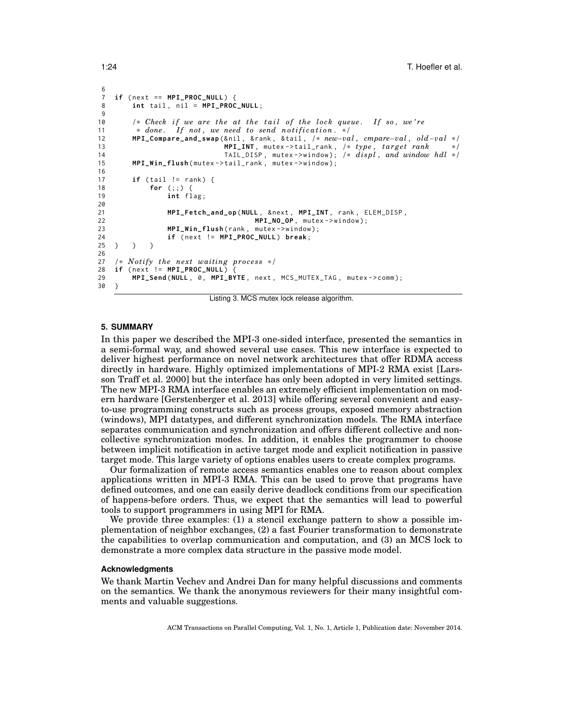```
rac{6}{7}if (next == MPI_PROC_NULL) {
8 int tail, nil = MPI_PROC_NULL;
 9
10 /* Check if we are the at the tail of the lock queue. If so, we're \frac{1}{2} t so, we're \frac{1}{2} the done. If not, we need to send notification. */
11 * done. If not, we need to send notification. */<br>12 MPI Compare and swap (&nil, &rank, &tail, /* new-va
12 MPI_Compare_and_swap (& nil , & rank , & tail , /* new−val , cmpare−val , old−va l */
13 MPI_INT, mutex ->tail_rank, /* type, target rank */ 14 TAIL_DISP, mutex ->window); /* displ, and window
14 TAIL_DISP , mutex - > window ); /* d isp l , and window hdl */
15 MPI_Win_flush ( mutex - > tail_rank , mutex - > window );
16<br>17
         if ( tail != rank) { }18 for (;;) {
19 int flag;
20
21 MPI_Fetch_and_op (NULL, & next, MPI_INT, rank, ELEM_DISP,
22 MPI_NO_OP, mutex ->window);
23 MPI_Win_flush (rank, mutex ->window);
24 if (next != MPI_PROC_NULL) break;
25 } } }
26
27 /* Notify the next waiting process */<br>28 if (next != MPI PROC NULL) {
       (newi != MPI_PROC_NULL) {
29 MPI_Send (NULL, 0, MPI_BYTE, next, MCS_MUTEX_TAG, mutex->comm);
30 }
```
Listing 3. MCS mutex lock release algorithm.

# **5. SUMMARY**

In this paper we described the MPI-3 one-sided interface, presented the semantics in a semi-formal way, and showed several use cases. This new interface is expected to deliver highest performance on novel network architectures that offer RDMA access directly in hardware. Highly optimized implementations of MPI-2 RMA exist [Larsson Traff et al. 2000] but the interface has only been adopted in very limited settings. The new MPI-3 RMA interface enables an extremely efficient implementation on modern hardware [Gerstenberger et al. 2013] while offering several convenient and easyto-use programming constructs such as process groups, exposed memory abstraction (windows), MPI datatypes, and different synchronization models. The RMA interface separates communication and synchronization and offers different collective and noncollective synchronization modes. In addition, it enables the programmer to choose between implicit notification in active target mode and explicit notification in passive target mode. This large variety of options enables users to create complex programs.

Our formalization of remote access semantics enables one to reason about complex applications written in MPI-3 RMA. This can be used to prove that programs have defined outcomes, and one can easily derive deadlock conditions from our specification of happens-before orders. Thus, we expect that the semantics will lead to powerful tools to support programmers in using MPI for RMA.

We provide three examples: (1) a stencil exchange pattern to show a possible implementation of neighbor exchanges, (2) a fast Fourier transformation to demonstrate the capabilities to overlap communication and computation, and (3) an MCS lock to demonstrate a more complex data structure in the passive mode model.

### **Acknowledgments**

We thank Martin Vechev and Andrei Dan for many helpful discussions and comments on the semantics. We thank the anonymous reviewers for their many insightful comments and valuable suggestions.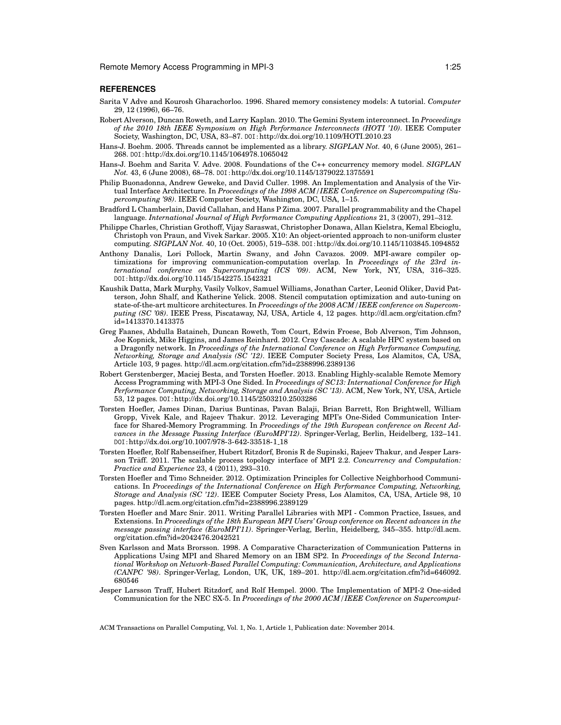# **REFERENCES**

- Sarita V Adve and Kourosh Gharachorloo. 1996. Shared memory consistency models: A tutorial. *Computer* 29, 12 (1996), 66–76.
- Robert Alverson, Duncan Roweth, and Larry Kaplan. 2010. The Gemini System interconnect. In *Proceedings of the 2010 18th IEEE Symposium on High Performance Interconnects (HOTI '10)*. IEEE Computer Society, Washington, DC, USA, 83–87. DOI:http://dx.doi.org/10.1109/HOTI.2010.23
- Hans-J. Boehm. 2005. Threads cannot be implemented as a library. *SIGPLAN Not.* 40, 6 (June 2005), 261– 268. DOI:http://dx.doi.org/10.1145/1064978.1065042
- Hans-J. Boehm and Sarita V. Adve. 2008. Foundations of the C++ concurrency memory model. *SIGPLAN Not.* 43, 6 (June 2008), 68–78. DOI:http://dx.doi.org/10.1145/1379022.1375591
- Philip Buonadonna, Andrew Geweke, and David Culler. 1998. An Implementation and Analysis of the Virtual Interface Architecture. In *Proceedings of the 1998 ACM/IEEE Conference on Supercomputing (Supercomputing '98)*. IEEE Computer Society, Washington, DC, USA, 1–15.
- Bradford L Chamberlain, David Callahan, and Hans P Zima. 2007. Parallel programmability and the Chapel language. *International Journal of High Performance Computing Applications* 21, 3 (2007), 291–312.
- Philippe Charles, Christian Grothoff, Vijay Saraswat, Christopher Donawa, Allan Kielstra, Kemal Ebcioglu, Christoph von Praun, and Vivek Sarkar. 2005. X10: An object-oriented approach to non-uniform cluster computing. *SIGPLAN Not.* 40, 10 (Oct. 2005), 519–538. DOI:http://dx.doi.org/10.1145/1103845.1094852
- Anthony Danalis, Lori Pollock, Martin Swany, and John Cavazos. 2009. MPI-aware compiler optimizations for improving communication-computation overlap. In *Proceedings of the 23rd international conference on Supercomputing (ICS '09)*. ACM, New York, NY, USA, 316–325. DOI:http://dx.doi.org/10.1145/1542275.1542321
- Kaushik Datta, Mark Murphy, Vasily Volkov, Samuel Williams, Jonathan Carter, Leonid Oliker, David Patterson, John Shalf, and Katherine Yelick. 2008. Stencil computation optimization and auto-tuning on state-of-the-art multicore architectures. In *Proceedings of the 2008 ACM/IEEE conference on Supercomputing (SC '08)*. IEEE Press, Piscataway, NJ, USA, Article 4, 12 pages. http://dl.acm.org/citation.cfm? id=1413370.1413375
- Greg Faanes, Abdulla Bataineh, Duncan Roweth, Tom Court, Edwin Froese, Bob Alverson, Tim Johnson, Joe Kopnick, Mike Higgins, and James Reinhard. 2012. Cray Cascade: A scalable HPC system based on a Dragonfly network. In *Proceedings of the International Conference on High Performance Computing, Networking, Storage and Analysis (SC '12)*. IEEE Computer Society Press, Los Alamitos, CA, USA, Article 103, 9 pages. http://dl.acm.org/citation.cfm?id=2388996.2389136
- Robert Gerstenberger, Maciej Besta, and Torsten Hoefler. 2013. Enabling Highly-scalable Remote Memory Access Programming with MPI-3 One Sided. In *Proceedings of SC13: International Conference for High Performance Computing, Networking, Storage and Analysis (SC '13)*. ACM, New York, NY, USA, Article 53, 12 pages. DOI:http://dx.doi.org/10.1145/2503210.2503286
- Torsten Hoefler, James Dinan, Darius Buntinas, Pavan Balaji, Brian Barrett, Ron Brightwell, William Gropp, Vivek Kale, and Rajeev Thakur. 2012. Leveraging MPI's One-Sided Communication Interface for Shared-Memory Programming. In *Proceedings of the 19th European conference on Recent Advances in the Message Passing Interface (EuroMPI'12)*. Springer-Verlag, Berlin, Heidelberg, 132–141. DOI:http://dx.doi.org/10.1007/978-3-642-33518-1 18
- Torsten Hoefler, Rolf Rabenseifner, Hubert Ritzdorf, Bronis R de Supinski, Rajeev Thakur, and Jesper Larsson Träff. 2011. The scalable process topology interface of MPI 2.2. Concurrency and Computation: *Practice and Experience* 23, 4 (2011), 293–310.
- Torsten Hoefler and Timo Schneider. 2012. Optimization Principles for Collective Neighborhood Communications. In *Proceedings of the International Conference on High Performance Computing, Networking, Storage and Analysis (SC '12)*. IEEE Computer Society Press, Los Alamitos, CA, USA, Article 98, 10 pages. http://dl.acm.org/citation.cfm?id=2388996.2389129
- Torsten Hoefler and Marc Snir. 2011. Writing Parallel Libraries with MPI Common Practice, Issues, and Extensions. In *Proceedings of the 18th European MPI Users' Group conference on Recent advances in the message passing interface (EuroMPI'11)*. Springer-Verlag, Berlin, Heidelberg, 345–355. http://dl.acm. org/citation.cfm?id=2042476.2042521
- Sven Karlsson and Mats Brorsson. 1998. A Comparative Characterization of Communication Patterns in Applications Using MPI and Shared Memory on an IBM SP2. In *Proceedings of the Second International Workshop on Network-Based Parallel Computing: Communication, Architecture, and Applications (CANPC '98)*. Springer-Verlag, London, UK, UK, 189–201. http://dl.acm.org/citation.cfm?id=646092. 680546
- Jesper Larsson Traff, Hubert Ritzdorf, and Rolf Hempel. 2000. The Implementation of MPI-2 One-sided Communication for the NEC SX-5. In *Proceedings of the 2000 ACM/IEEE Conference on Supercomput-*